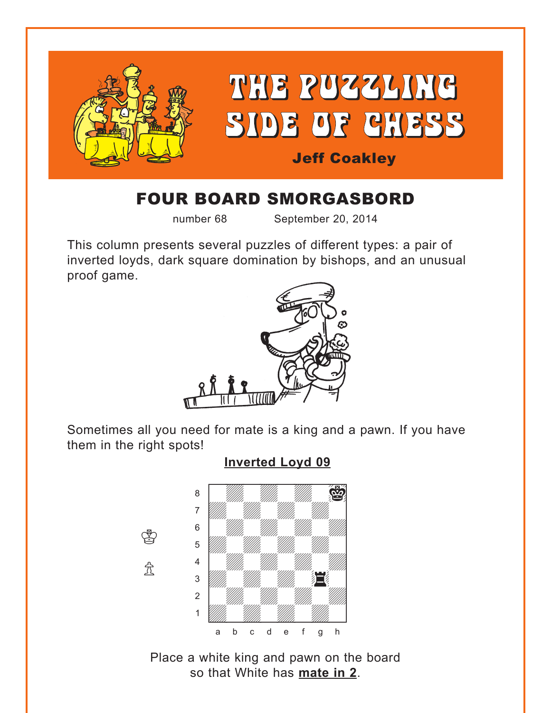<span id="page-0-0"></span>

# FOUR BOARD SMORGASBORD

number 68 September 20, 2014

This column presents several puzzles of different types: a pair of inverted loyds, dark square domination by bishops, and an unusual proof game.



Sometimes all you need for mate is a king and a pawn. If you have them in the right spots!

#### **[Inverted Loyd 09](#page-3-0)**



Place a white king and pawn on the board so that White has **mate in 2**.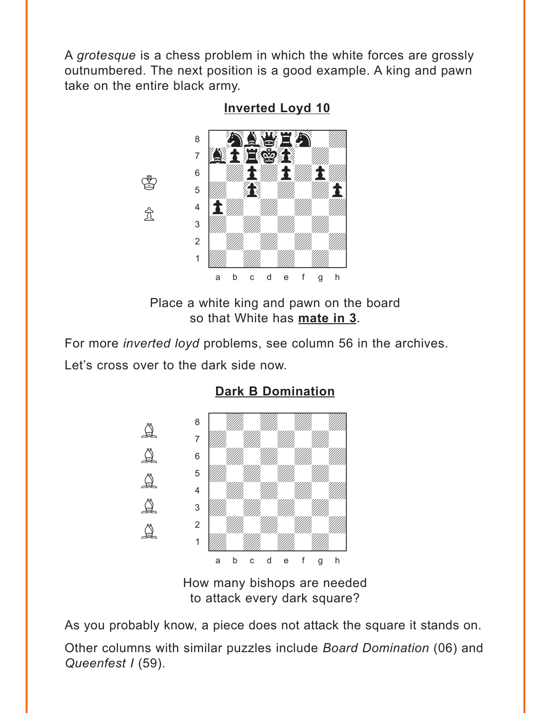<span id="page-1-0"></span>A *grotesque* is a chess problem in which the white forces are grossly outnumbered. The next position is a good example. A king and pawn take on the entire black army.

**[Inverted Loyd 10](#page-3-0)**



 $\bigcircled{r}$ 

 $\Re$ 

Place a white king and pawn on the board so that White has **mate in 3**.

For more *inverted loyd* problems, see column 56 in the archives. Let's cross over to the dark side now.



### **[Dark B Domination](#page-4-0)**

How many bishops are needed to attack every dark square?

As you probably know, a piece does not attack the square it stands on. Other columns with similar puzzles include *Board Domination* (06) and *Queenfest I* (59).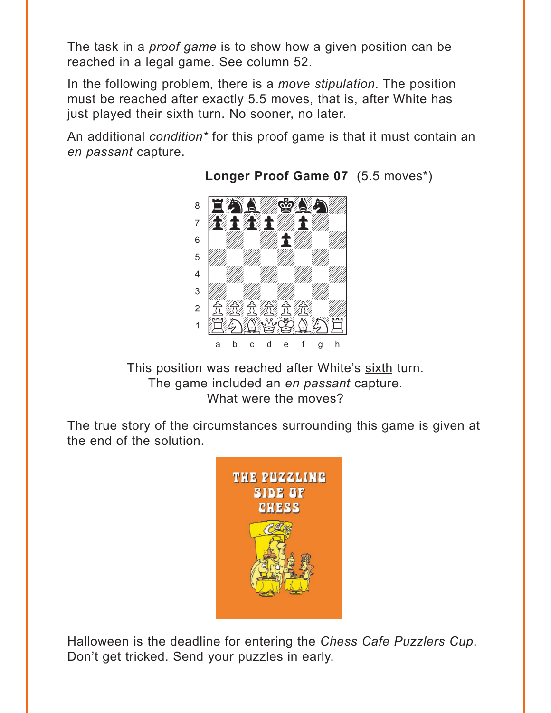<span id="page-2-0"></span>The task in a *proof game* is to show how a given position can be reached in a legal game. See column 52.

In the following problem, there is a *move stipulation*. The position must be reached after exactly 5.5 moves, that is, after White has just played their sixth turn. No sooner, no later.

An additional *condition\** for this proof game is that it must contain an *en passant* capture.



**[Longer Proof Game 07](#page-6-0)** (5.5 moves\*)

This position was reached after White's sixth turn. The game included an *en passant* capture. What were the moves?

The true story of the circumstances surrounding this game is given at the end of the solution.



Halloween is the deadline for entering the *Chess Cafe Puzzlers Cup*. Don't get tricked. Send your puzzles in early.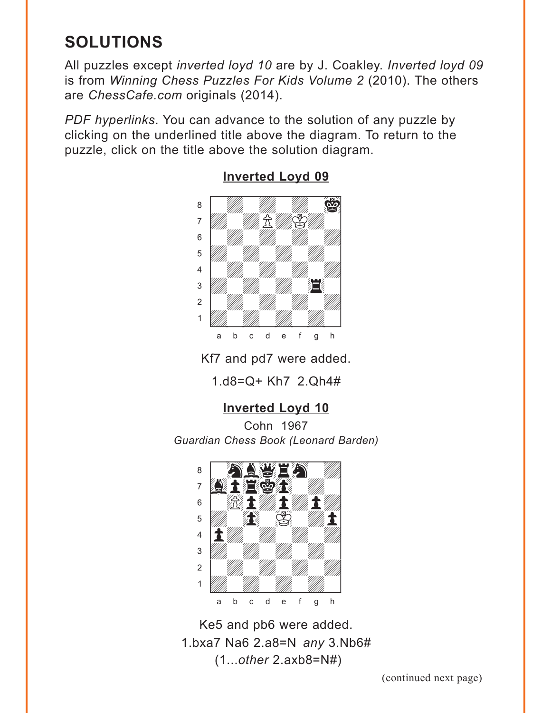# <span id="page-3-0"></span>**SOLUTIONS**

All puzzles except *inverted loyd 10* are by J. Coakley. *Inverted loyd 09* is from *Winning Chess Puzzles For Kids Volume 2* (2010). The others are *ChessCafe.com* originals (2014).

*PDF hyperlinks*. You can advance to the solution of any puzzle by clicking on the underlined title above the diagram. To return to the puzzle, click on the title above the solution diagram.



#### **[Inverted Loyd 09](#page-0-0)**

Kf7 and pd7 were added.

1.d8=Q+ Kh7 2.Qh4#

## **[Inverted Loyd 10](#page-1-0)**

Cohn 1967 *Guardian Chess Book (Leonard Barden)*



Ke5 and pb6 were added. 1.bxa7 Na6 2.a8=N *any* 3.Nb6# (1...*other* 2.axb8=N#)

(continued next page)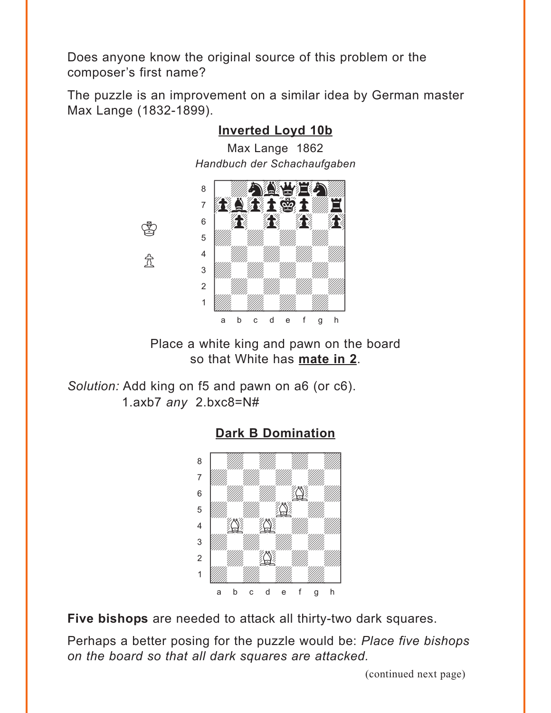<span id="page-4-0"></span>Does anyone know the original source of this problem or the composer's first name?

The puzzle is an improvement on a similar idea by German master Max Lange (1832-1899).



## **Inverted Loyd 10b**

Place a white king and pawn on the board so that White has **mate in 2**.

*Solution:* Add king on f5 and pawn on a6 (or c6). 1.axb7 *any* 2.bxc8=N#



**[Dark B Domination](#page-1-0)**

**Five bishops** are needed to attack all thirty-two dark squares.

Perhaps a better posing for the puzzle would be: *Place five bishops on the board so that all dark squares are attacked.*

(continued next page)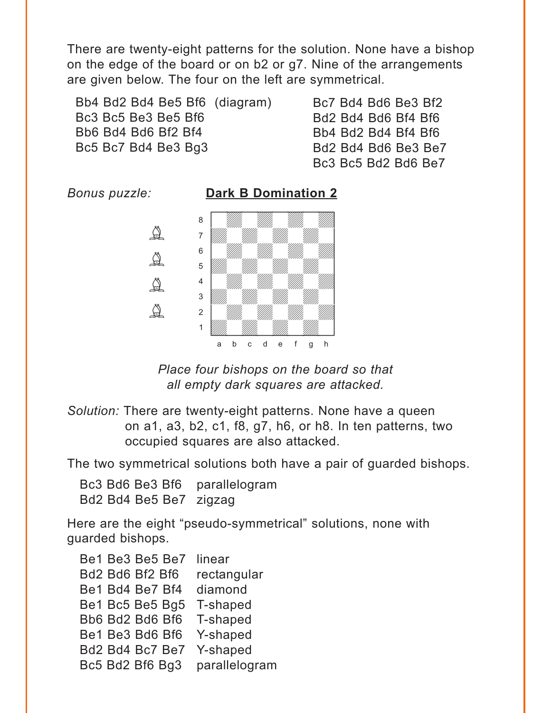There are twenty-eight patterns for the solution. None have a bishop on the edge of the board or on b2 or g7. Nine of the arrangements are given below. The four on the left are symmetrical.

Bb4 Bd2 Bd4 Be5 Bf6 (diagram) Bc3 Bc5 Be3 Be5 Bf6 Bb6 Bd4 Bd6 Bf2 Bf4 Bc5 Bc7 Bd4 Be3 Bg3

Bc7 Bd4 Bd6 Be3 Bf2 Bd2 Bd4 Bd6 Bf4 Bf6 Bb4 Bd2 Bd4 Bf4 Bf6 Bd2 Bd4 Bd6 Be3 Be7 Bc3 Bc5 Bd2 Bd6 Be7



*Place four bishops on the board so that all empty dark squares are attacked.*

*Solution:* There are twenty-eight patterns. None have a queen on a1, a3, b2, c1, f8, g7, h6, or h8. In ten patterns, two occupied squares are also attacked.

The two symmetrical solutions both have a pair of guarded bishops.

Bc3 Bd6 Be3 Bf6 parallelogram Bd2 Bd4 Be5 Be7 zigzag

Here are the eight "pseudo-symmetrical" solutions, none with guarded bishops.

Be1 Be3 Be5 Be7 linear Bd2 Bd6 Bf2 Bf6 rectangular Be1 Bd4 Be7 Bf4 diamond Be1 Bc5 Be5 Bg5 T-shaped Bb6 Bd2 Bd6 Bf6 T-shaped Be1 Be3 Bd6 Bf6 Y-shaped Bd2 Bd4 Bc7 Be7 Y-shaped Bc5 Bd2 Bf6 Bg3 parallelogram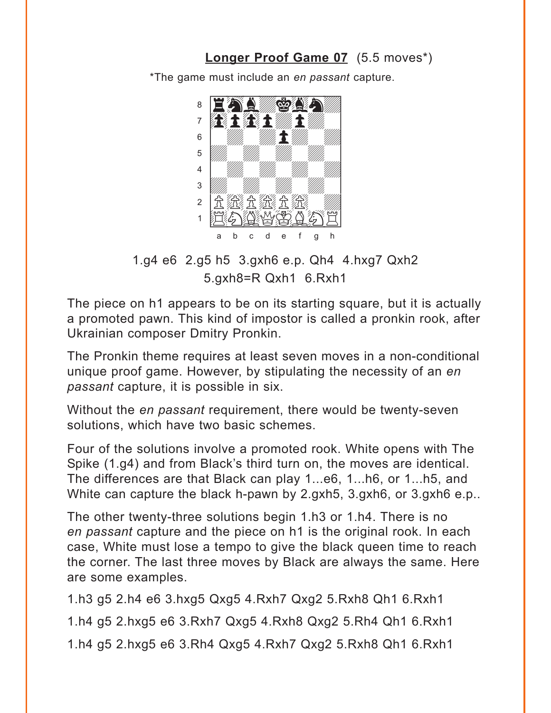### **[Longer Proof Game 07](#page-2-0)** (5.5 moves\*)

\*The game must include an *en passant* capture.

<span id="page-6-0"></span>

1.g4 e6 2.g5 h5 3.gxh6 e.p. Qh4 4.hxg7 Qxh2 5.gxh8=R Qxh1 6.Rxh1

The piece on h1 appears to be on its starting square, but it is actually a promoted pawn. This kind of impostor is called a pronkin rook, after Ukrainian composer Dmitry Pronkin.

The Pronkin theme requires at least seven moves in a non-conditional unique proof game. However, by stipulating the necessity of an *en passant* capture, it is possible in six.

Without the *en passant* requirement, there would be twenty-seven solutions, which have two basic schemes.

Four of the solutions involve a promoted rook. White opens with The Spike (1.g4) and from Black's third turn on, the moves are identical. The differences are that Black can play 1...e6, 1...h6, or 1...h5, and White can capture the black h-pawn by 2.gxh5, 3.gxh6, or 3.gxh6 e.p..

The other twenty-three solutions begin 1.h3 or 1.h4. There is no *en passant* capture and the piece on h1 is the original rook. In each case, White must lose a tempo to give the black queen time to reach the corner. The last three moves by Black are always the same. Here are some examples.

1.h3 g5 2.h4 e6 3.hxg5 Qxg5 4.Rxh7 Qxg2 5.Rxh8 Qh1 6.Rxh1 1.h4 g5 2.hxg5 e6 3.Rxh7 Qxg5 4.Rxh8 Qxg2 5.Rh4 Qh1 6.Rxh1 1.h4 g5 2.hxg5 e6 3.Rh4 Qxg5 4.Rxh7 Qxg2 5.Rxh8 Qh1 6.Rxh1